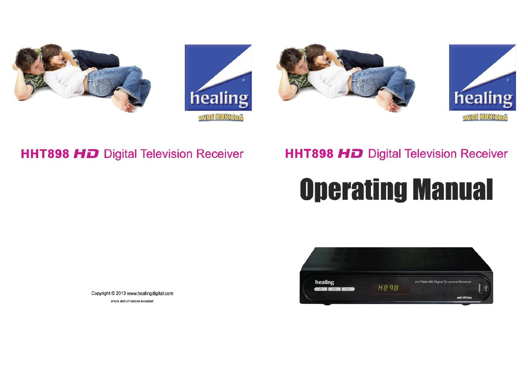







# **HHT898 HD** Digital Television Receiver

# **HHT898 HD** Digital Television Receiver

# **Operating Manual**



Copyright © 2013 www.healingdigital.com errors and omissions excepted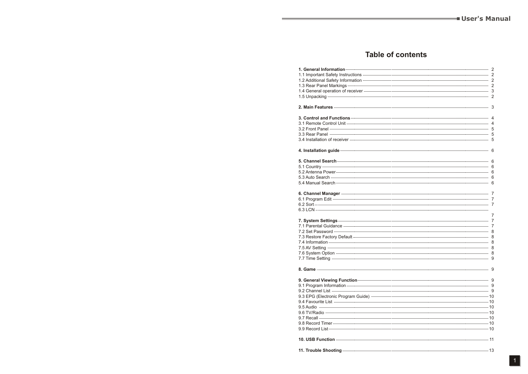# **Table of contents**

| 1. General Information —                                                                                               |   |
|------------------------------------------------------------------------------------------------------------------------|---|
|                                                                                                                        |   |
|                                                                                                                        |   |
|                                                                                                                        |   |
|                                                                                                                        |   |
|                                                                                                                        |   |
|                                                                                                                        |   |
|                                                                                                                        |   |
|                                                                                                                        |   |
|                                                                                                                        |   |
|                                                                                                                        |   |
|                                                                                                                        |   |
|                                                                                                                        |   |
| 4. Installation guide <b>continuum continuum continuum continuum continuum continuum continuum continuum continuum</b> |   |
|                                                                                                                        |   |
|                                                                                                                        |   |
|                                                                                                                        |   |
|                                                                                                                        |   |
|                                                                                                                        |   |
|                                                                                                                        |   |
|                                                                                                                        |   |
|                                                                                                                        |   |
|                                                                                                                        |   |
|                                                                                                                        | 7 |
|                                                                                                                        |   |
|                                                                                                                        |   |
|                                                                                                                        |   |
|                                                                                                                        |   |
|                                                                                                                        |   |
|                                                                                                                        |   |
|                                                                                                                        |   |
|                                                                                                                        |   |
|                                                                                                                        |   |
|                                                                                                                        |   |
|                                                                                                                        |   |
|                                                                                                                        |   |
|                                                                                                                        |   |
|                                                                                                                        |   |
|                                                                                                                        |   |
|                                                                                                                        |   |
|                                                                                                                        |   |
|                                                                                                                        |   |
|                                                                                                                        |   |
|                                                                                                                        |   |
|                                                                                                                        |   |
|                                                                                                                        |   |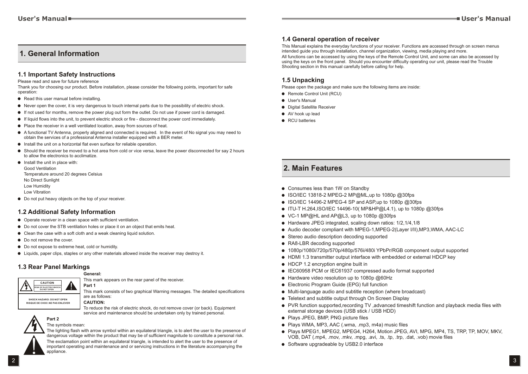# **1. General Information**

#### **1.1 Important Safety Instructions**

Please read and save for future reference

Thank you for choosing our product. Before installation, please consider the following points, important for safe operation:

- Read this user manual before installing.
- ! Never open the cover, it is very dangerous to touch internal parts due to the possibility of electric shock.
- ! If not used for months, remove the power plug out form the outlet. Do not use if power cord is damaged.
- ! If liquid flows into the unit, to prevent electric shock or fire disconnect the power cord immediately.
- ! Place the receiver in a well ventilated location, away from sources of heat.
- ! A functional TV Antenna, properly aligned and connected is required. In the event of No signal you may need to obtain the services of a professional Antenna installer equipped with a BER meter.
- ! Install the unit on a horizontal flat even surface for reliable operation.
- ! Should the receiver be moved to a hot area from cold or vice versa, leave the power disconnected for say 2 hours to allow the electronics to acclimatize.
- **.** Install the unit in place with: Good Ventilation Temperature around 20 degrees Celsius No Direct Sunlight Low Humidity Low Vibration
- $\bullet$  Do not put heavy objects on the top of your receiver.

#### **1.2 Additional Safety Information**

- Operate receiver in a clean space with sufficient ventilation.
- ! Do not cover the STB ventilation holes or place it on an object that emits heat.
- $\bullet$  Clean the case with a soft cloth and a weak cleaning liquid solution.
- Do not remove the cover.
- $\bullet$  Do not expose to extreme heat, cold or humidity.
- ! Liquids, paper clips, staples or any other materials allowed inside the receiver may destroy it.

#### **1.3 Rear Panel Markings**

**CAUTION RISK OF ELECTRIC BHOCK DO NOT OPEN**

#### **General:**

**CAUTION:**

This mark appears on the rear panel of the receiver. **Part 1**

This mark consists of two graphical Warning messages. The detailed specifications are as follows:

**SHOCK HAZARO: DO NOT OPEN RISQUE DE CHOC:NE PAS ENLEVER**

To reduce the risk of electric shock, do not remove cover (or back). Equipment service and maintenance should be undertaken only by trained personal.



#### The symbols mean:

The lighting flash with arrow symbol within an equilateral triangle, is to alert the user to the presence of dangerous voltage within the product that may be of sufficient magnitude to constitute a personal risk. The exclamation point within an equilateral triangle, is intended to alert the user to the presence of important operating and maintenance and or servicing instructions in the literature accompanying the appliance.

#### **1.4 General operation of receiver**

This Manual explains the everyday functions of your receiver. Functions are accessed through on screen menus intended guide you through installation, channel organization, viewing, media playing and more. All functions can be accessed by using the keys of the Remote Control Unit, and some can also be accessed by using the keys on the front panel. Should you encounter difficulty operating our unit, please read the Trouble Shooting section in this manual carefully before calling for help.

#### **1.5 Unpacking**

Please open the package and make sure the following items are inside:

- Remote Control Unit (RCU)
- $\bullet$  User's Manual
- $\bullet$  Digital Satellite Receiver
- AV hook up lead
- RCU batteries

## **2. Main Features**

- Consumes less than 1W on Standby
- ISO/IEC 13818-2 MPEG-2 MP@ML,up to 1080p @30fps
- ! ISO/IEC 14496-2 MPEG-4 SP and ASP,up to 1080p @30fps
- ITU-T H.264, ISO/IEC 14496-10( MP&HP@L4.1), up to 1080p @30fps
- VC-1 MP@HL and AP@L3, up to 1080p @30fps
- ! Hardware JPEG integrated, scaling down ratios: 1/2,1/4,1/8
- ! Audio decoder compliant with MPEG-1,MPEG-2(Layer I/II),MP3,WMA, AAC-LC
- Stereo audio description decoding supported
- RA8-LBR decoding supported
- ! 1080p/1080i/720p/570p/480p/576i/480i YPbPr/RGB component output supported
- ! HDMI 1.3 transmitter output interface with embedded or external HDCP key
- HDCP 1.2 encryption engine built in
- ! IEC60958 PCM or IEC61937 compressed audio format supported
- Hardware video resolution up to 1080p @60Hz
- **.** Electronic Program Guide (EPG) full function
- ! Multi-language audio and subtitle reception (where broadcast)
- Teletext and subtitle output through On Screen Display
- ! PVR function supported,recording TV ,advanced timeshift function and playback media files with external storage devices (USB stick / USB HDD)
- Plays JPEG, BMP, PNG picture files
- ! Plays WMA, MP3, AAC (.wma, .mp3, m4a) music files
- ! Plays MPEG1, MPEG2, MPEG4, H264, Motion JPEG, AVI, MPG, MP4, TS, TRP, TP, MOV, MKV, VOB, DAT (.mp4, .mov, .mkv, .mpg, .avi, .ts, .tp, .trp, .dat, .vob) movie files
- Software upgradeable by USB2.0 interface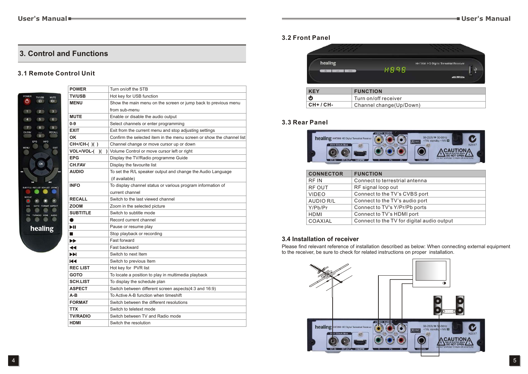# **3. Control and Functions**

#### **3.1 Remote Control Unit**

|                                              | <b>POWER</b>   |
|----------------------------------------------|----------------|
| POWER<br><b>TV/USB</b><br>MUTE               | <b>TV/USB</b>  |
| ტ<br>⊕<br>пdх                                | <b>MENU</b>    |
| $\overline{2}$<br>1<br>3                     |                |
| $\overline{4}$<br>5<br>6                     | <b>MUTE</b>    |
|                                              | $0-9$          |
| 8<br>9<br>7<br>CH.FAV<br><b>RECALL</b><br>Ē, | <b>EXIT</b>    |
| $\overline{0}$                               | OK             |
| EPG<br><b>INFO</b>                           | CH+/CH         |
| MENU<br>EXIT                                 | VOL+/V         |
|                                              | <b>EPG</b>     |
| OK                                           | CH.FAV         |
| т                                            | <b>AUDIO</b>   |
|                                              |                |
| m<br>п<br>SUBTITLE REC.LIST SCH.LIST ZOOM    | <b>INFO</b>    |
|                                              |                |
| REPEAT<br>H                                  | <b>RECALL</b>  |
| FORMAT ASPECT<br>$A - B$<br>GOTO             | <b>ZOOM</b>    |
| TTX<br>TV/RADIO HDMI<br>AUDIO                | <b>SUBTITI</b> |
|                                              |                |
| healing                                      | ÞШ             |
|                                              | - 1            |
|                                              | ▶▶             |
|                                              | ◀◀             |
|                                              | ÞH             |
|                                              | КI             |
|                                              | <b>REC LIS</b> |
|                                              | <b>GOTO</b>    |
|                                              |                |

| <b>POWER</b>          | Turn on/off the STB                                                   |
|-----------------------|-----------------------------------------------------------------------|
| <b>TV/USB</b>         | Hot key for USB function                                              |
| <b>MENU</b>           | Show the main menu on the screen or jump back to previous menu        |
|                       | from sub-menu                                                         |
| <b>MUTE</b>           | Enable or disable the audio output                                    |
| 0-9                   | Select channels or enter programming                                  |
| EXIT                  | Exit from the current menu and stop adjusting settings                |
| ΟK                    | Confirm the selected item in the menu screen or show the channel list |
| CH+/CH-()()           | Channel change or move cursor up or down                              |
|                       | <b>VOL+/VOL-()()</b> Volume Control or move cursor left or right      |
| EPG                   | Display the TV/Radio programme Guide                                  |
| <b>CH.FAV</b>         | Display the favourite list                                            |
| AUDIO                 | To set the R/L speaker output and change the Audio Language           |
|                       | (if available)                                                        |
| INFO                  | To display channel status or various program information of           |
|                       | current channel                                                       |
| <b>RECALL</b>         | Switch to the last viewed channel                                     |
| <b>ZOOM</b>           | Zoom in the selected picture                                          |
| <b>SUBTITLE</b>       | Switch to subtitle mode                                               |
| $\bullet$             | Record current channel                                                |
| ÞШ                    | Pause or resume play                                                  |
| ×                     | Stop playback or recording                                            |
| $\blacktriangleright$ | Fast forward                                                          |
| ◀◀                    | Fast backward                                                         |
| EM                    | Switch to next Item                                                   |
| Ю                     | Switch to previous Item                                               |
| <b>REC LIST</b>       | Hot key for PVR list                                                  |
| GOTO                  | To locate a position to play in multimedia playback                   |
| <b>SCH.LIST</b>       | To display the schedule plan                                          |
| <b>ASPECT</b>         | Switch between different screen aspects(4:3 and 16:9)                 |
| A-B                   | To Active A-B function when timeshift                                 |
| <b>FORMAT</b>         | Switch between the different resolutions                              |
| <b>TTX</b>            | Switch to teletext mode                                               |
| <b>TV/RADIO</b>       | Switch between TV and Radio mode                                      |
| HDMI                  | Switch the resolution                                                 |
|                       |                                                                       |

#### **3.2 Front Panel**

|         | and the company's company's<br><b>Contract Contract</b> |             | the control of the control of the<br>the state of the control of |    |
|---------|---------------------------------------------------------|-------------|------------------------------------------------------------------|----|
| healing |                                                         | <b>H898</b> | HHT898 HD Digital Terrestrial Receiver                           | -1 |
| äн      | <b>GHA</b>                                              |             | <b>WIDE HORIZON</b>                                              |    |
| KE.     | <b>FUNCTION</b>                                         |             |                                                                  |    |

| <b>KEY</b> | <b>FUNCTION</b>           |
|------------|---------------------------|
| ტ          | Turn on/off receiver      |
| CH+ / CH-  | , Channel change(Up/Down) |

## **3.3 Rear Panel**



| <b>CONNECTOR</b> | <b>FUNCTION</b>                            |
|------------------|--------------------------------------------|
| RF IN            | Connect to terrestrial antenna             |
| <b>RF OUT</b>    | RF signal loop out                         |
| <b>VIDEO</b>     | Connect to the TV's CVBS port              |
| AUDIO R/L        | Connect to the TV's audio port             |
| Y/Pb/Pr          | Connect to TV's Y/Pr/Pb ports              |
| HDMI             | Connect to TV's HDMI port                  |
| COAXIAL          | Connect to the TV for digital audio output |

#### **3.4 Installation of receiver**

Please find relevant reference of installation described as below: When connecting external equipment to the receiver, be sure to check for related instructions on proper installation.

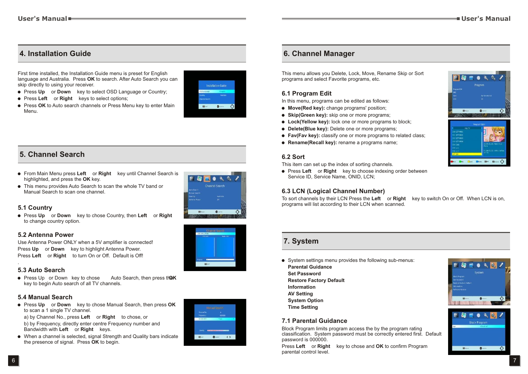# **4. Installation Guide**

First time installed, the Installation Guide menu is preset for English language and Australia. Press **OK** to search. After Auto Search you can skip directly to using your receiver.

- **.** Press Up or Down key to select OSD Language or Country;
- ! Press **Left◄** or **Right►** keys to select options;
- **Press OK** to Auto search channels or Press Menu key to enter Main Menu.



# **5. Channel Search**

- ! From Main Menu press **Left◄** or **Right►** key until Channel Search is highlighted, and press the **OK** key.
- This menu provides Auto Search to scan the whole TV band or Manual Search to scan one channel.

#### **5.1 Country**

■ Press Up or **Down** key to chose Country, then Left or Right to change country option.

#### **5.2 Antenna Power**

Use Antenna Power ONLY when a 5V amplifier is connected! Press **Up** or **Down** key to highlight Antenna Power. Press **Left◄** or **Right►** to turn On or Off. Default is Off!

#### **5.3 Auto Search**

 $\bullet$  Press Up or Down key to chose Auto Search, then press th**@K** key to begin Auto search of all TV channels.

#### **5.4 Manual Search**

**• Press Up** or **Down** key to chose Manual Search, then press OK to scan a 1 single TV channel.

a) by Channel No., press **Left◄** or **Right►** to chose, or

b) by Frequency, directly enter centre Frequency number and Bandwidth with **Left** or **Right** keys.

! When a channel is selected, signal Strength and Quality bars indicate the presence of signal. Press **OK** to begin.



# **6. Channel Manager**

This menu allows you Delete, Lock, Move, Rename Skip or Sort programs and select Favorite programs, etc.

#### **6.1 Program Edit**

In this menu, programs can be edited as follows:

- ! **Move(Red key):** change programs' position;
- **Skip(Green key):** skip one or more programs;
- ! **Lock(Yellow key):** lock one or more programs to block;
- ! **Delete(Blue key):** Delete one or more programs;
- ! **Fav(Fav key):** classify one or more programs to related class;
- **Rename(Recall key):** rename a programs name:

#### **6.2 Sort**

This item can set up the index of sorting channels.

! Press **Left◄** or **Right►** key to choose indexing order between Service ID, Service Name, ONID, LCN;

#### **6.3 LCN (Logical Channel Number)**

To sort channels by their LCN Press the **Left◄** or **Right►** key to switch On or Off. When LCN is on, programs will list according to their LCN when scanned.

### **7. System**

- ! System settings menu provides the following sub-menus:
- **Parental Guidance Set Password Restore Factory Default**
- **Information AV Setting**
- **System Option**
- **Time Setting**

#### **7.1 Parental Guidance**

Block Program limits program access the by the program rating classification. System password must be correctly entered first. Default password is 000000.

Press **Left◄** or **Right►** key to chose and **OK** to confirm Program parental control level.





.

A

 $\circ$ 

 $\overline{\phantom{a}}$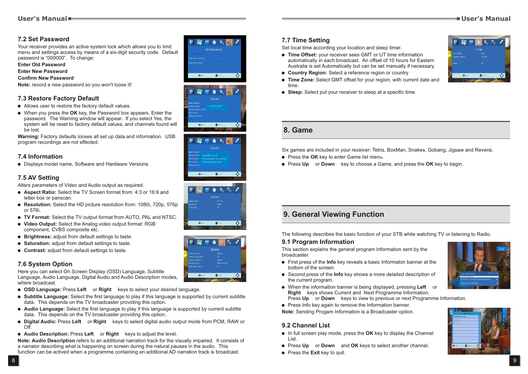#### **7.2 Set Password**

Your receiver provides an active system lock which allows you to limit menu and settings access by means of a six-digit security code. Default password is "000000". To change:

**Enter Old Password**

#### **Enter New Password**

**Confirm New Password**

**Note:** record a new password so you won't loose it!

#### **7.3 Restore Factory Default**

- Allows user to restore the factory default values.
- ! When you press the **OK** key, the Password box appears. Enter the password. The Warning window will appear. If you select Yes, the system will be reset to factory default values, and channels found will be lost.

**Warning:** Factory defaults looses all set up data and information. USB program recordings are not effected.

#### **7.4 Information**

! Displays model name, Software and Hardware Versions.

#### **7.5 AV Setting**

Alters parameters of Video and Audio output as required.

- ! **Aspect Ratio:** Select the TV Screen format from: 4:3 or 16:9 and letter box or panscan.
- ! **Resolution:** Select the HD picture resolution from: 1080i, 720p, 576p or 576i.
- ! **TV Format:** Select the TV output format from AUTO, PAL and NTSC.
- ! **Video Output:** Select the Analog video output format: RGB component, CVBS composite etc.
- **Brightness:** adjust from default settings to taste.
- ! **Saturation:** adjust from default settings to taste.
- ! **Contrast:** adjust from default settings to taste.

#### **7.6 System Option**

Here you can select On Screen Display (OSD) Language, Subtitle Language, Audio Language, Digital Audio and Audio Description modes, where broadcast.

- ! **OSD Language:** Press **Left◄** or **Right►** keys to select your desired language.
- ! **Subtitle Language:** Select the first language to play if this language is supported by current subtitle data. This depends on the TV broadcaster providing this option.
- ! **Audio Language:** Select the first language to play if this language is supported by current subtitle data. This depends on the TV broadcaster providing this option.
- ! **Digital Audio:** Press **Left◄** or **Right►** keys to select digital audio output mode from PCM, RAW or Off.
- ! **Audio Description:** Press **Left◄** or **Right►** keys to adjust the level.

**Note: Audio Description** refers to an additional narration track for the visually impaired. It consists of a narrator describing what is happening on screen during the natural pauses in the audio. This function can be actived when a programme containing an additional AD narration track is broadcast.











#### **7.7 Time Setting**

Set local time according your location and sleep timer.

- **. Time Offset:** your receiver sees GMT or UT time information automatically in each broadcast. An offset of 10 hours for Eastern Australia is set Automatically but can be set manually if necessary.
- ! **Country Region:** Select a reference region or country
- ! **Time Zone:** Select GMT offset for your region, with current date and time.
- ! **Sleep:** Select put your receiver to sleep at a specific time.

#### **8. Game**

Six games are included in your receiver: Tetris, BoxMan, Snakes, Gobang, Jigsaw and Reversi.

- **.** Press the OK key to enter Game list menu.
- **Press Up** or **Down** key to choose a Game, and press the OK key to begin.

# **9. General Viewing Function**

The following describes the basic function of your STB while watching TV or listening to Radio.

#### **9.1 Program Information**

This section explains the general program Information sent by the broadcaster.

- ! First press of the **Info** key reveals a basic Informaton banner at the bottom of the screen.
- ! Second press of the **Info** key shows a more detailed description of the current program.
- ! When the information banner is being displayed, pressing **Left◄** or **Right** keys shows Current and Next Programme Information. Press Up or Down keys to view to previous or next Programme Information.
- Press Info key again to remove the Information banner.

**Note:** Sending Progam Information is a Broadcaster option.

#### **9.2 Channel List**

- ! In full screen play mode, press the **OK** key to display the Channel List.
- **Press Up** or **Down** and **OK** keys to select another channel.
- **Press the Exit key to quit.**





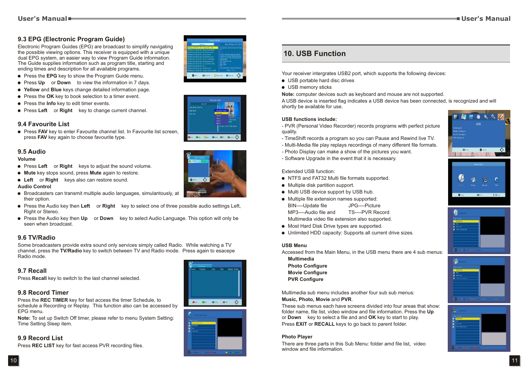#### **9.3 EPG (Electronic Program Guide)**

Electronic Program Guides (EPG) are broadcast to simplify navigating the possible viewing options. This receiver is equipped with a unique dual EPG system, an easier way to view Program Guide information. The Guide supplies information such as program title, starting and ending times and description for all available programs.

- ! Press the **EPG** key to show the Program Guide menu.
- **Press Up** or **Down** to view the information in 7 days.
- ! **Yellow** and **Blue** keys change detailed information page.
- **Press the OK** key to book selection to a timer event.
- ! Press the **Info** key to edit timer events.
- ! Press **Left◄** or **Right►** key to change current channel.

#### **9.4 Favourite List**

**.** Press **FAV** key to enter Favourite channel list. In Favourite list screen, press **FAV** key again to choose favourite type.

#### **9.5 Audio**

#### **Volume**

- Press Left or Right keys to adjust the sound volume.
- ! **Mute** key stops sound, press **Mute** again to restore.
- Left or Right keys also can restore sound.

#### **Audio Control**

- ! Broadcasters can transmit multiple audio languages, simulantously, at their option.
- ! Press the Audio key then **Left◄** or **Right►** key to select one of three possible audio settings Left, Right or Stereo.
- Press the Audio key then **Up** or **Down** key to select Audio Language. This option will only be seen when broadcast.

#### **9.6 TV/Radio**

Some broadcasters provide extra sound only services simply called Radio. While watching a TV channel, press the **TV/Radio** key to switch between TV and Radio mode. Press again to esacepe Radio mode.

#### **9.7 Recall**

Press **Recall** key to switch to the last channel selected.

#### **9.8 Record Timer**

Press the **REC TIMER** key for fast access the timer Schedule, to schedule a Recording or Replay. This function also can be accessed by EPG menu.

**Note:** To set up Switch Off timer, please refer to menu System Setting: Time Setting Sleep item.

#### **9.9 Record List**

Press **REC LIST** key for fast access PVR recording files.



**Channel** 

**Chairman** 



# **10. USB Function**

Your receiver intergrates USB2 port, which supports the following devices:

- USB portable hard disc drives
- USB memory sticks

**Note:** computer devices such as keyboard and mouse are not supported.

A USB device is inserted flag indicates a USB device has been connected, is recognized and will shortly be available for use.

#### **USB functions include:**

- PVR (Personal Video Recorder) records programs with perfect picture quality.

- TimeShift records a program so you can Pause and Rewind live TV.
- Multi-Media file play replays recordings of many different file formats.
- Photo Display can make a show of the pictures you want.
- Software Upgrade in the event that it is necessary.

#### Extended USB function:

- ! NTFS and FAT32 Multi file formats supported.
- Multiple disk partition support.
- $\bullet$  Multi USB device support by USB hub.
- Multiple file extension names supported: BIN----Update file JPG----Picture MP3----Audio file and TS----PVR Record Multimedia video file extension also supported.
- Most Hard Disk Drive types are supported.
- ! Unlimited HDD capacity: Supports all current drive sizes.

#### **USB Menu**

Accessed from the Main Menu, in the USB menu there are 4 sub menus:

**Multimedia Photo Configure Movie Configure PVR Configure**

Multimedia sub menu includes another four sub sub menus:

#### **Music, Photo, Movie** and **PVR**.

These sub menus each have screens divided into four areas that show: folder name, file list, video window and file information. Press the Up or **Down** key to select a file and and **OK** key to start to play. Press **EXIT** or **RECALL** keys to go back to parent folder.

#### **Photo Player**

There are three parts in this Sub Menu: folder amd file list, video window and file information.